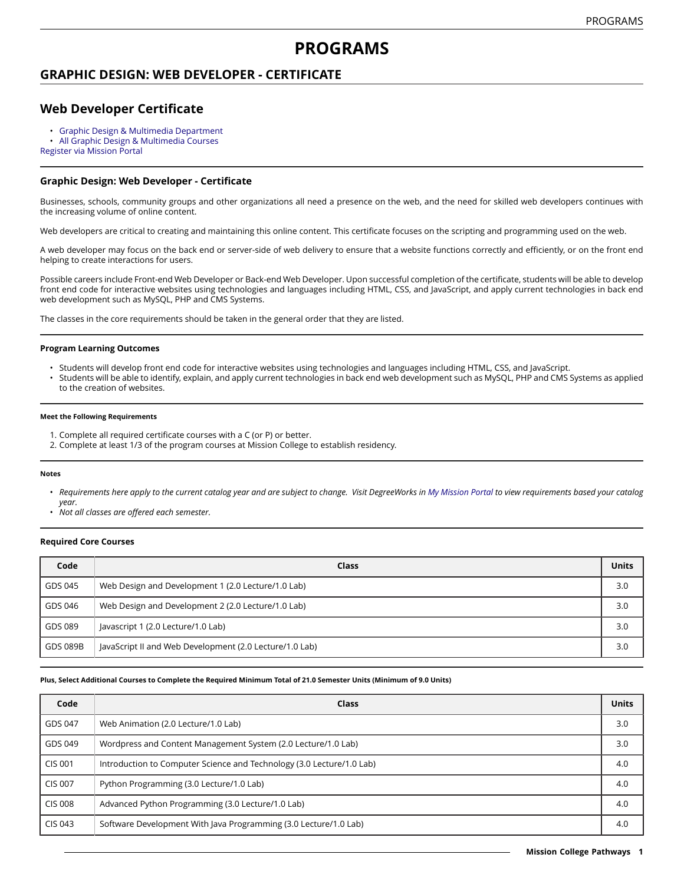# **PROGRAMS**

## **GRAPHIC DESIGN: WEB DEVELOPER - CERTIFICATE**

## **Web Developer Certificate**

• Graphic Design & Multimedia [Department](https://missioncollege.edu/depts/graphic-design/)

• All Graphic Design & [Multimedia](http://majors.missioncollege.edu/current/courses/gds.html) Courses

[Register via Mission Portal](https://web.wvm.edu/)

### **Graphic Design: Web Developer - Certificate**

Businesses, schools, community groups and other organizations all need a presence on the web, and the need for skilled web developers continues with the increasing volume of online content.

Web developers are critical to creating and maintaining this online content. This certificate focuses on the scripting and programming used on the web.

A web developer may focus on the back end or server-side of web delivery to ensure that a website functions correctly and efficiently, or on the front end helping to create interactions for users.

Possible careers include Front-end Web Developer or Back-end Web Developer. Upon successful completion of the certificate, students will be able to develop front end code for interactive websites using technologies and languages including HTML, CSS, and JavaScript, and apply current technologies in back end web development such as MySQL, PHP and CMS Systems.

The classes in the core requirements should be taken in the general order that they are listed.

### **Program Learning Outcomes**

- Students will develop front end code for interactive websites using technologies and languages including HTML, CSS, and JavaScript.
- Students will be able to identify, explain, and apply current technologies in back end web development such as MySQL, PHP and CMS Systems as applied to the creation of websites.

#### **Meet the Following Requirements**

- 1. Complete all required certificate courses with a C (or P) or better.
- 2. Complete at least 1/3 of the program courses at Mission College to establish residency.

#### **Notes**

- Requirements here apply to the current catalog year and are subject to change. Visit DegreeWorks in [My Mission Portal](https://web.wvm.edu/#/) to view requirements based your catalog *year.*
- *Not all classes are offered each semester.*

### **Required Core Courses**

| Code     | Class                                                   | <b>Units</b> |
|----------|---------------------------------------------------------|--------------|
| GDS 045  | Web Design and Development 1 (2.0 Lecture/1.0 Lab)      | 3.0          |
| GDS 046  | Web Design and Development 2 (2.0 Lecture/1.0 Lab)      | 3.0          |
| GDS 089  | Javascript 1 (2.0 Lecture/1.0 Lab)                      | 3.0          |
| GDS 089B | JavaScript II and Web Development (2.0 Lecture/1.0 Lab) | 3.0          |

#### Plus, Select Additional Courses to Complete the Required Minimum Total of 21.0 Semester Units (Minimum of 9.0 Units)

| Code           | Class                                                                 | <b>Units</b> |
|----------------|-----------------------------------------------------------------------|--------------|
| GDS 047        | Web Animation (2.0 Lecture/1.0 Lab)                                   | 3.0          |
| GDS 049        | Wordpress and Content Management System (2.0 Lecture/1.0 Lab)         | 3.0          |
| <b>CIS 001</b> | Introduction to Computer Science and Technology (3.0 Lecture/1.0 Lab) | 4.0          |
| <b>CIS 007</b> | Python Programming (3.0 Lecture/1.0 Lab)                              | 4.0          |
| <b>CIS 008</b> | Advanced Python Programming (3.0 Lecture/1.0 Lab)                     | 4.0          |
| CIS 043        | Software Development With Java Programming (3.0 Lecture/1.0 Lab)      | 4.0          |